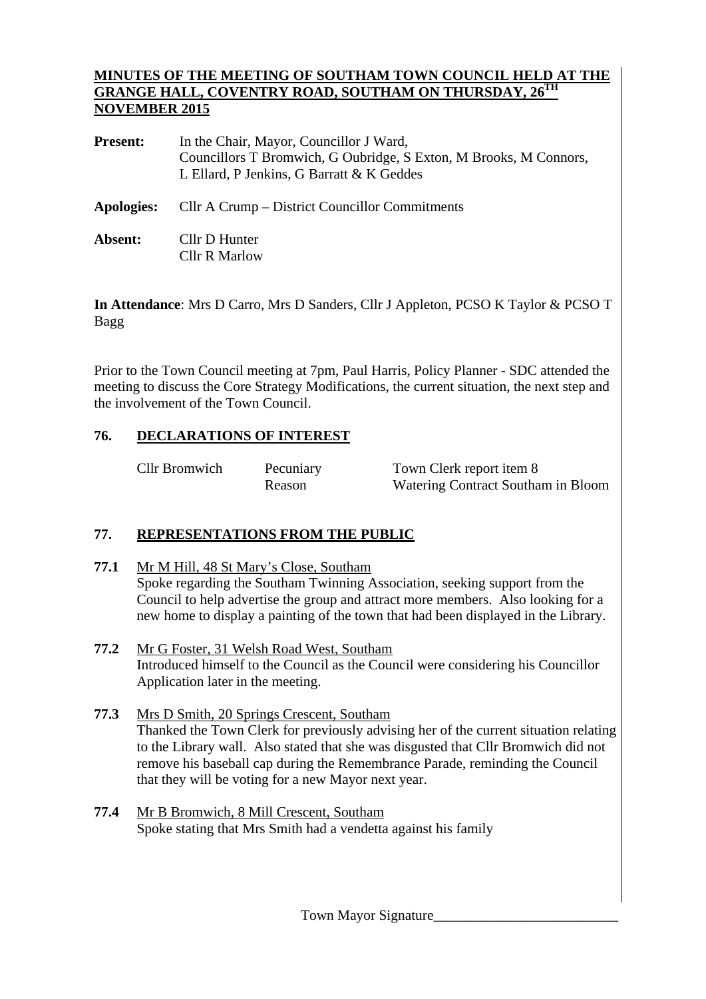#### **MINUTES OF THE MEETING OF SOUTHAM TOWN COUNCIL HELD AT THE GRANGE HALL, COVENTRY ROAD, SOUTHAM ON THURSDAY, 26TH NOVEMBER 2015**

| <b>Present:</b>   | In the Chair, Mayor, Councillor J Ward,<br>Councillors T Bromwich, G Oubridge, S Exton, M Brooks, M Connors,<br>L Ellard, P Jenkins, G Barratt & K Geddes |  |  |  |  |
|-------------------|-----------------------------------------------------------------------------------------------------------------------------------------------------------|--|--|--|--|
| <b>Apologies:</b> | Cllr A Crump – District Councillor Commitments                                                                                                            |  |  |  |  |
| Absent:           | Cllr D Hunter<br>Cllr R Marlow                                                                                                                            |  |  |  |  |

**In Attendance**: Mrs D Carro, Mrs D Sanders, Cllr J Appleton, PCSO K Taylor & PCSO T Bagg

Prior to the Town Council meeting at 7pm, Paul Harris, Policy Planner - SDC attended the meeting to discuss the Core Strategy Modifications, the current situation, the next step and the involvement of the Town Council.

# **76. DECLARATIONS OF INTEREST**

| <b>Cllr Bromwich</b> | Pecuniary |
|----------------------|-----------|
|                      | Dogon     |

Town Clerk report item 8 Reason Watering Contract Southam in Bloom

# **77. REPRESENTATIONS FROM THE PUBLIC**

- **77.1** Mr M Hill, 48 St Mary's Close, Southam Spoke regarding the Southam Twinning Association, seeking support from the Council to help advertise the group and attract more members. Also looking for a new home to display a painting of the town that had been displayed in the Library.
- **77.2** Mr G Foster, 31 Welsh Road West, Southam Introduced himself to the Council as the Council were considering his Councillor Application later in the meeting.
- **77.3** Mrs D Smith, 20 Springs Crescent, Southam Thanked the Town Clerk for previously advising her of the current situation relating to the Library wall. Also stated that she was disgusted that Cllr Bromwich did not remove his baseball cap during the Remembrance Parade, reminding the Council that they will be voting for a new Mayor next year.
- **77.4** Mr B Bromwich, 8 Mill Crescent, Southam Spoke stating that Mrs Smith had a vendetta against his family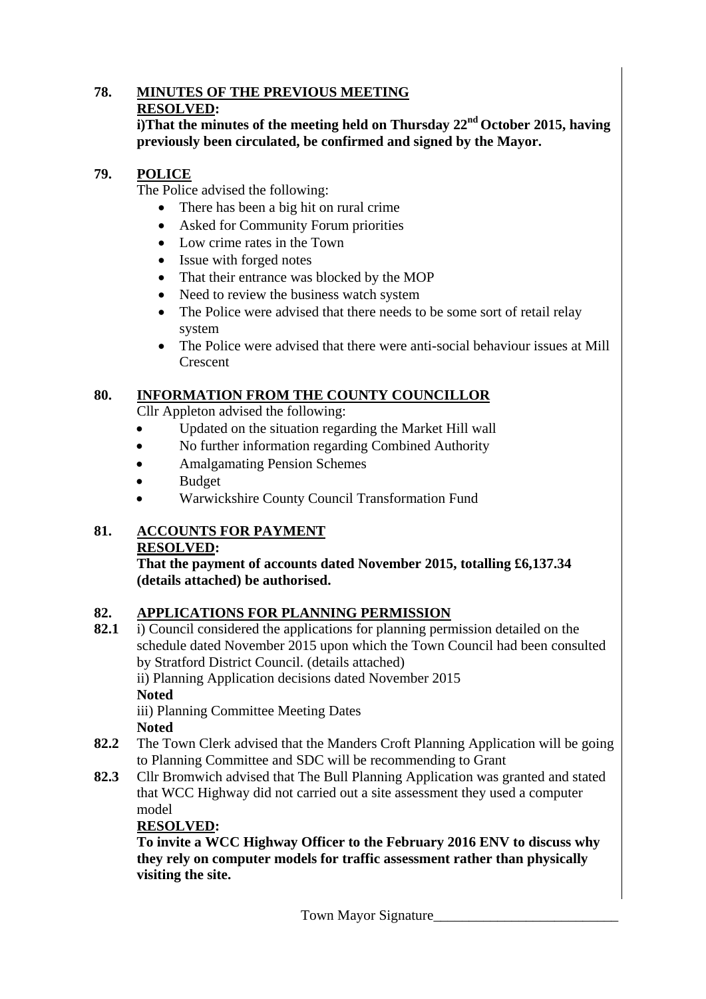## **78. MINUTES OF THE PREVIOUS MEETING RESOLVED:**

**i)That the minutes of the meeting held on Thursday 22nd October 2015, having previously been circulated, be confirmed and signed by the Mayor.** 

# **79. POLICE**

The Police advised the following:

- There has been a big hit on rural crime
- Asked for Community Forum priorities
- Low crime rates in the Town
- Issue with forged notes
- That their entrance was blocked by the MOP
- Need to review the business watch system
- The Police were advised that there needs to be some sort of retail relay system
- The Police were advised that there were anti-social behaviour issues at Mill **Crescent**

# **80. INFORMATION FROM THE COUNTY COUNCILLOR**

Cllr Appleton advised the following:

- Updated on the situation regarding the Market Hill wall
- No further information regarding Combined Authority
- Amalgamating Pension Schemes
- Budget
- Warwickshire County Council Transformation Fund

## **81. ACCOUNTS FOR PAYMENT RESOLVED:**

**That the payment of accounts dated November 2015, totalling £6,137.34 (details attached) be authorised.** 

# **82. APPLICATIONS FOR PLANNING PERMISSION**

**82.1** i) Council considered the applications for planning permission detailed on the schedule dated November 2015 upon which the Town Council had been consulted by Stratford District Council. (details attached)

ii) Planning Application decisions dated November 2015 **Noted**

iii) Planning Committee Meeting Dates **Noted** 

- **82.2** The Town Clerk advised that the Manders Croft Planning Application will be going to Planning Committee and SDC will be recommending to Grant
- **82.3** Cllr Bromwich advised that The Bull Planning Application was granted and stated that WCC Highway did not carried out a site assessment they used a computer model

# **RESOLVED:**

 **To invite a WCC Highway Officer to the February 2016 ENV to discuss why they rely on computer models for traffic assessment rather than physically visiting the site.**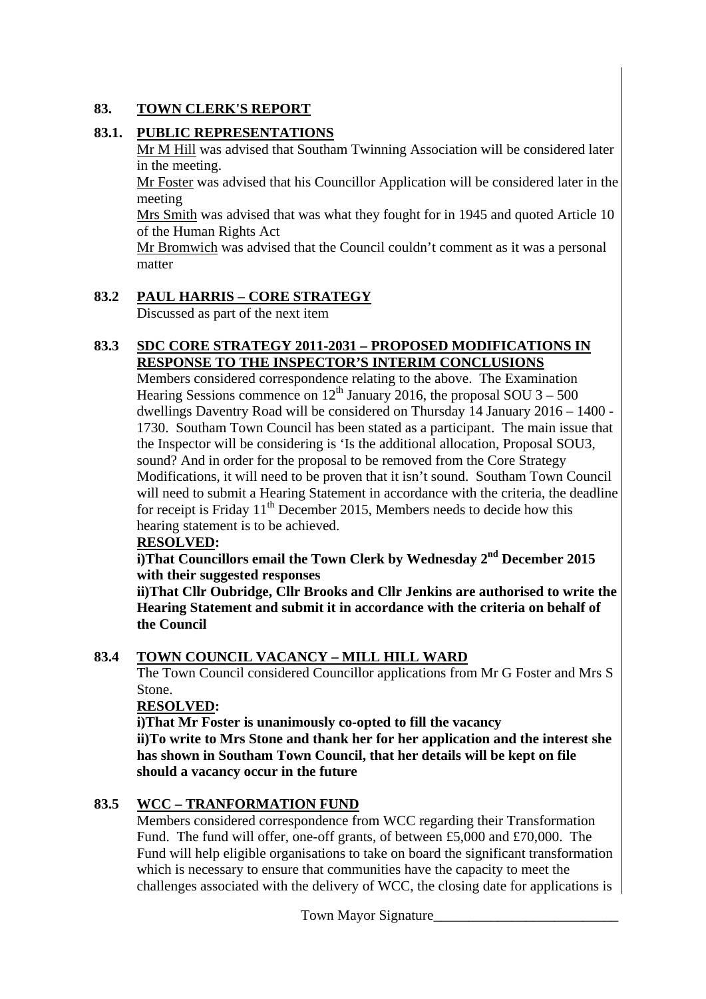# **83. TOWN CLERK'S REPORT**

# **83.1. PUBLIC REPRESENTATIONS**

Mr M Hill was advised that Southam Twinning Association will be considered later in the meeting.

Mr Foster was advised that his Councillor Application will be considered later in the meeting

Mrs Smith was advised that was what they fought for in 1945 and quoted Article 10 of the Human Rights Act

Mr Bromwich was advised that the Council couldn't comment as it was a personal matter

# **83.2 PAUL HARRIS – CORE STRATEGY**

Discussed as part of the next item

## **83.3 SDC CORE STRATEGY 2011-2031 – PROPOSED MODIFICATIONS IN RESPONSE TO THE INSPECTOR'S INTERIM CONCLUSIONS**

Members considered correspondence relating to the above. The Examination Hearing Sessions commence on  $12^{th}$  January 2016, the proposal SOU 3 – 500 dwellings Daventry Road will be considered on Thursday 14 January 2016 – 1400 - 1730. Southam Town Council has been stated as a participant. The main issue that the Inspector will be considering is 'Is the additional allocation, Proposal SOU3, sound? And in order for the proposal to be removed from the Core Strategy Modifications, it will need to be proven that it isn't sound. Southam Town Council will need to submit a Hearing Statement in accordance with the criteria, the deadline for receipt is Friday  $11<sup>th</sup>$  December 2015, Members needs to decide how this hearing statement is to be achieved.

## **RESOLVED:**

**i)That Councillors email the Town Clerk by Wednesday 2<sup>nd</sup> December 2015 with their suggested responses** 

 **ii)That Cllr Oubridge, Cllr Brooks and Cllr Jenkins are authorised to write the Hearing Statement and submit it in accordance with the criteria on behalf of the Council** 

# **83.4 TOWN COUNCIL VACANCY – MILL HILL WARD**

The Town Council considered Councillor applications from Mr G Foster and Mrs S Stone.

## **RESOLVED:**

 **i)That Mr Foster is unanimously co-opted to fill the vacancy ii)To write to Mrs Stone and thank her for her application and the interest she has shown in Southam Town Council, that her details will be kept on file should a vacancy occur in the future** 

# **83.5 WCC – TRANFORMATION FUND**

Members considered correspondence from WCC regarding their Transformation Fund. The fund will offer, one-off grants, of between £5,000 and £70,000. The Fund will help eligible organisations to take on board the significant transformation which is necessary to ensure that communities have the capacity to meet the challenges associated with the delivery of WCC, the closing date for applications is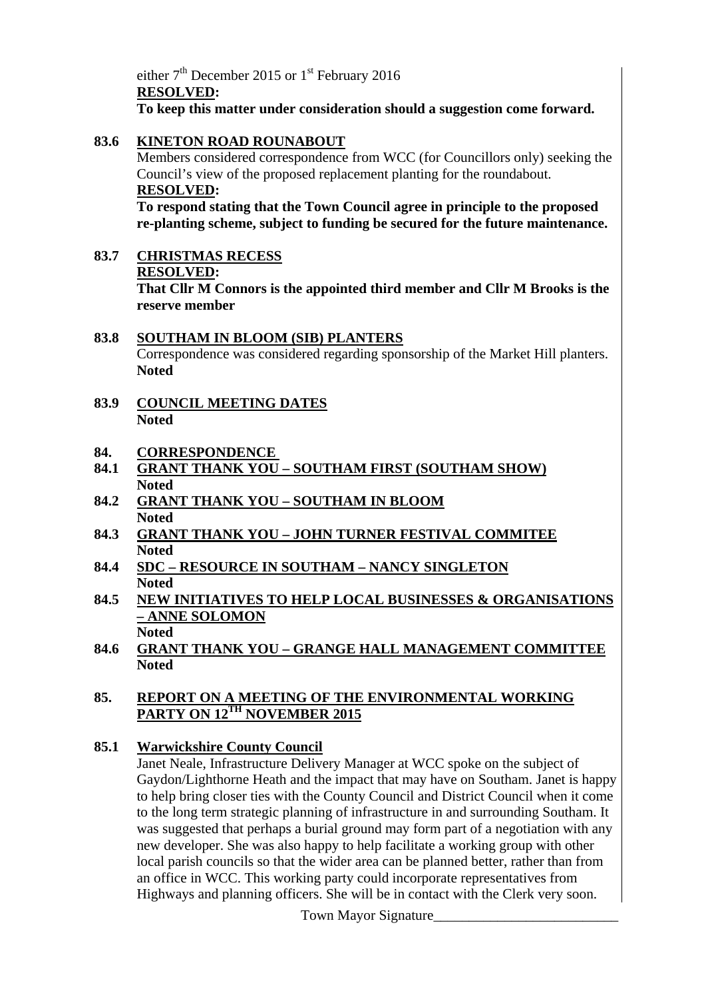either  $7<sup>th</sup>$  December 2015 or 1<sup>st</sup> February 2016 **RESOLVED: To keep this matter under consideration should a suggestion come forward.** 

# **83.6 KINETON ROAD ROUNABOUT**

Members considered correspondence from WCC (for Councillors only) seeking the Council's view of the proposed replacement planting for the roundabout. **RESOLVED:** 

**To respond stating that the Town Council agree in principle to the proposed re-planting scheme, subject to funding be secured for the future maintenance.** 

**83.7 CHRISTMAS RECESS RESOLVED: That Cllr M Connors is the appointed third member and Cllr M Brooks is the reserve member** 

## **83.8 SOUTHAM IN BLOOM (SIB) PLANTERS** Correspondence was considered regarding sponsorship of the Market Hill planters. **Noted**

**83.9 COUNCIL MEETING DATES Noted** 

## **84. CORRESPONDENCE**

- **84.1 GRANT THANK YOU SOUTHAM FIRST (SOUTHAM SHOW) Noted**
- **84.2 GRANT THANK YOU SOUTHAM IN BLOOM Noted**
- **84.3 GRANT THANK YOU JOHN TURNER FESTIVAL COMMITEE Noted**
- **84.4 SDC RESOURCE IN SOUTHAM NANCY SINGLETON Noted**
- **84.5 NEW INITIATIVES TO HELP LOCAL BUSINESSES & ORGANISATIONS – ANNE SOLOMON Noted**
- **84.6 GRANT THANK YOU GRANGE HALL MANAGEMENT COMMITTEE Noted**

## **85. REPORT ON A MEETING OF THE ENVIRONMENTAL WORKING PARTY ON 12TH NOVEMBER 2015**

## **85.1 Warwickshire County Council**

Janet Neale, Infrastructure Delivery Manager at WCC spoke on the subject of Gaydon/Lighthorne Heath and the impact that may have on Southam. Janet is happy to help bring closer ties with the County Council and District Council when it come to the long term strategic planning of infrastructure in and surrounding Southam. It was suggested that perhaps a burial ground may form part of a negotiation with any new developer. She was also happy to help facilitate a working group with other local parish councils so that the wider area can be planned better, rather than from an office in WCC. This working party could incorporate representatives from Highways and planning officers. She will be in contact with the Clerk very soon.

Town Mayor Signature\_\_\_\_\_\_\_\_\_\_\_\_\_\_\_\_\_\_\_\_\_\_\_\_\_\_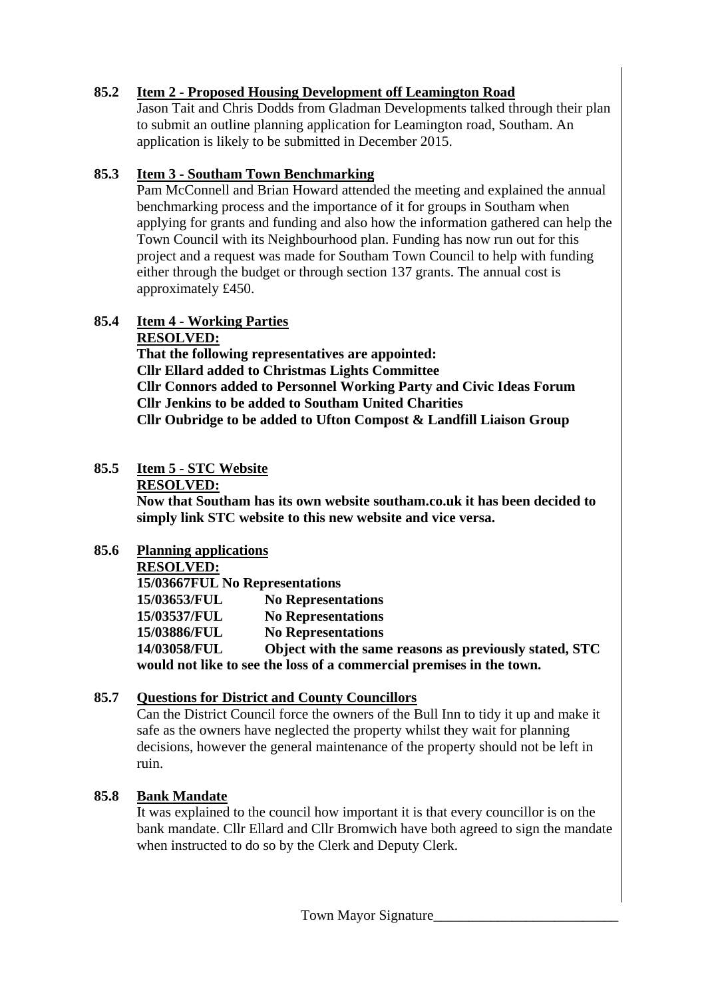# **85.2 Item 2 - Proposed Housing Development off Leamington Road**

Jason Tait and Chris Dodds from Gladman Developments talked through their plan to submit an outline planning application for Leamington road, Southam. An application is likely to be submitted in December 2015.

# **85.3 Item 3 - Southam Town Benchmarking**

Pam McConnell and Brian Howard attended the meeting and explained the annual benchmarking process and the importance of it for groups in Southam when applying for grants and funding and also how the information gathered can help the Town Council with its Neighbourhood plan. Funding has now run out for this project and a request was made for Southam Town Council to help with funding either through the budget or through section 137 grants. The annual cost is approximately £450.

# **85.4 Item 4 - Working Parties**

**RESOLVED:**

**That the following representatives are appointed: Cllr Ellard added to Christmas Lights Committee Cllr Connors added to Personnel Working Party and Civic Ideas Forum Cllr Jenkins to be added to Southam United Charities Cllr Oubridge to be added to Ufton Compost & Landfill Liaison Group** 

# **85.5 Item 5 - STC Website**

#### **RESOLVED:**

**Now that Southam has its own website southam.co.uk it has been decided to simply link STC website to this new website and vice versa.** 

## **85.6 Planning applications**

# **RESOLVED:**

**15/03667FUL No Representations 15/03653/FUL No Representations 15/03537/FUL No Representations 15/03886/FUL No Representations 14/03058/FUL Object with the same reasons as previously stated, STC would not like to see the loss of a commercial premises in the town.** 

# **85.7 Questions for District and County Councillors**

Can the District Council force the owners of the Bull Inn to tidy it up and make it safe as the owners have neglected the property whilst they wait for planning decisions, however the general maintenance of the property should not be left in ruin.

# **85.8 Bank Mandate**

It was explained to the council how important it is that every councillor is on the bank mandate. Cllr Ellard and Cllr Bromwich have both agreed to sign the mandate when instructed to do so by the Clerk and Deputy Clerk.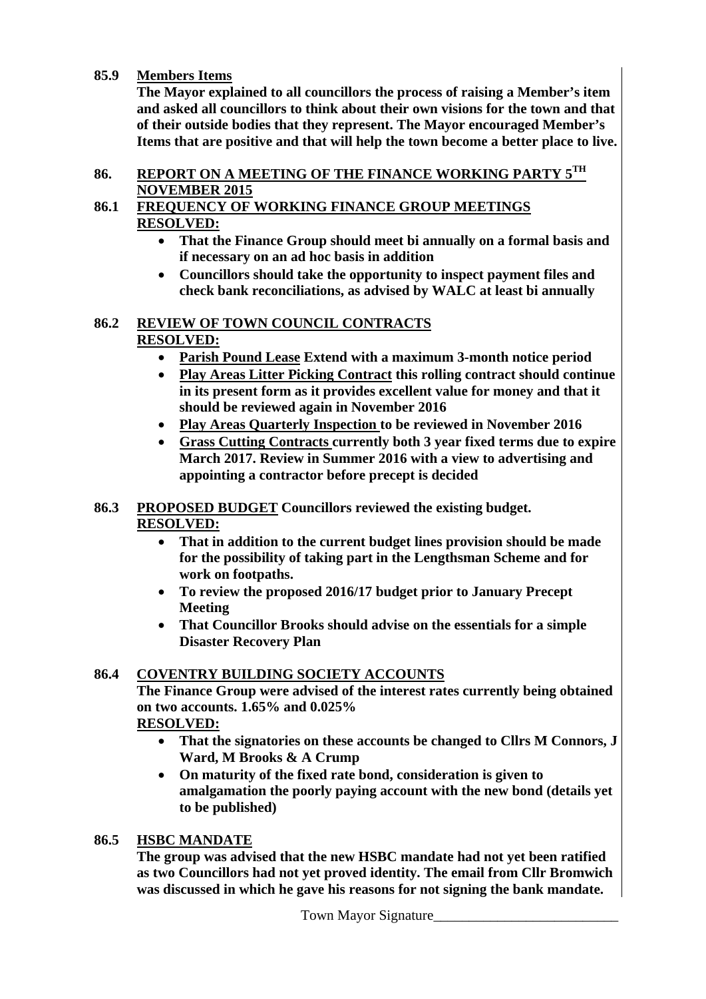## **85.9 Members Items**

**The Mayor explained to all councillors the process of raising a Member's item and asked all councillors to think about their own visions for the town and that of their outside bodies that they represent. The Mayor encouraged Member's Items that are positive and that will help the town become a better place to live.** 

## **86. REPORT ON A MEETING OF THE FINANCE WORKING PARTY 5TH NOVEMBER 2015**

# **86.1 FREQUENCY OF WORKING FINANCE GROUP MEETINGS RESOLVED:**

- **That the Finance Group should meet bi annually on a formal basis and if necessary on an ad hoc basis in addition**
- **Councillors should take the opportunity to inspect payment files and check bank reconciliations, as advised by WALC at least bi annually**

## **86.2 REVIEW OF TOWN COUNCIL CONTRACTS RESOLVED:**

- **Parish Pound Lease Extend with a maximum 3-month notice period**
- **Play Areas Litter Picking Contract this rolling contract should continue in its present form as it provides excellent value for money and that it should be reviewed again in November 2016**
- **Play Areas Quarterly Inspection to be reviewed in November 2016**
- **Grass Cutting Contracts currently both 3 year fixed terms due to expire March 2017. Review in Summer 2016 with a view to advertising and appointing a contractor before precept is decided**

# **86.3 PROPOSED BUDGET Councillors reviewed the existing budget. RESOLVED:**

- **That in addition to the current budget lines provision should be made for the possibility of taking part in the Lengthsman Scheme and for work on footpaths.**
- **To review the proposed 2016/17 budget prior to January Precept Meeting**
- **That Councillor Brooks should advise on the essentials for a simple Disaster Recovery Plan**

# **86.4 COVENTRY BUILDING SOCIETY ACCOUNTS**

**The Finance Group were advised of the interest rates currently being obtained on two accounts. 1.65% and 0.025%** 

**RESOLVED:**

- **That the signatories on these accounts be changed to Cllrs M Connors, J Ward, M Brooks & A Crump**
- **On maturity of the fixed rate bond, consideration is given to amalgamation the poorly paying account with the new bond (details yet to be published)**

# **86.5 HSBC MANDATE**

**The group was advised that the new HSBC mandate had not yet been ratified as two Councillors had not yet proved identity. The email from Cllr Bromwich was discussed in which he gave his reasons for not signing the bank mandate.**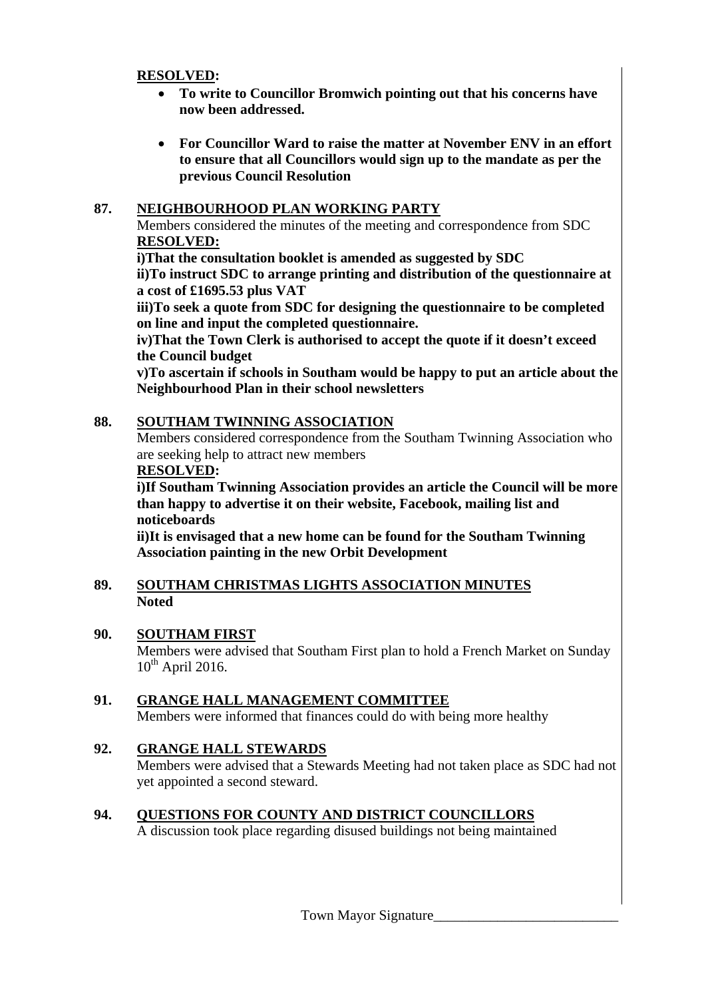#### **RESOLVED:**

- **To write to Councillor Bromwich pointing out that his concerns have now been addressed.**
- **For Councillor Ward to raise the matter at November ENV in an effort to ensure that all Councillors would sign up to the mandate as per the previous Council Resolution**

# **87. NEIGHBOURHOOD PLAN WORKING PARTY**

Members considered the minutes of the meeting and correspondence from SDC **RESOLVED:**

 **i)That the consultation booklet is amended as suggested by SDC** 

**ii)To instruct SDC to arrange printing and distribution of the questionnaire at a cost of £1695.53 plus VAT** 

**iii)To seek a quote from SDC for designing the questionnaire to be completed on line and input the completed questionnaire.** 

**iv)That the Town Clerk is authorised to accept the quote if it doesn't exceed the Council budget** 

**v)To ascertain if schools in Southam would be happy to put an article about the Neighbourhood Plan in their school newsletters** 

# **88. SOUTHAM TWINNING ASSOCIATION**

Members considered correspondence from the Southam Twinning Association who are seeking help to attract new members

## **RESOLVED:**

**i)If Southam Twinning Association provides an article the Council will be more than happy to advertise it on their website, Facebook, mailing list and noticeboards** 

**ii)It is envisaged that a new home can be found for the Southam Twinning Association painting in the new Orbit Development** 

## **89. SOUTHAM CHRISTMAS LIGHTS ASSOCIATION MINUTES Noted**

## **90. SOUTHAM FIRST**

Members were advised that Southam First plan to hold a French Market on Sunday  $10^{th}$  April 2016.

# **91. GRANGE HALL MANAGEMENT COMMITTEE**

Members were informed that finances could do with being more healthy

# **92. GRANGE HALL STEWARDS**

Members were advised that a Stewards Meeting had not taken place as SDC had not yet appointed a second steward.

# **94. QUESTIONS FOR COUNTY AND DISTRICT COUNCILLORS**

A discussion took place regarding disused buildings not being maintained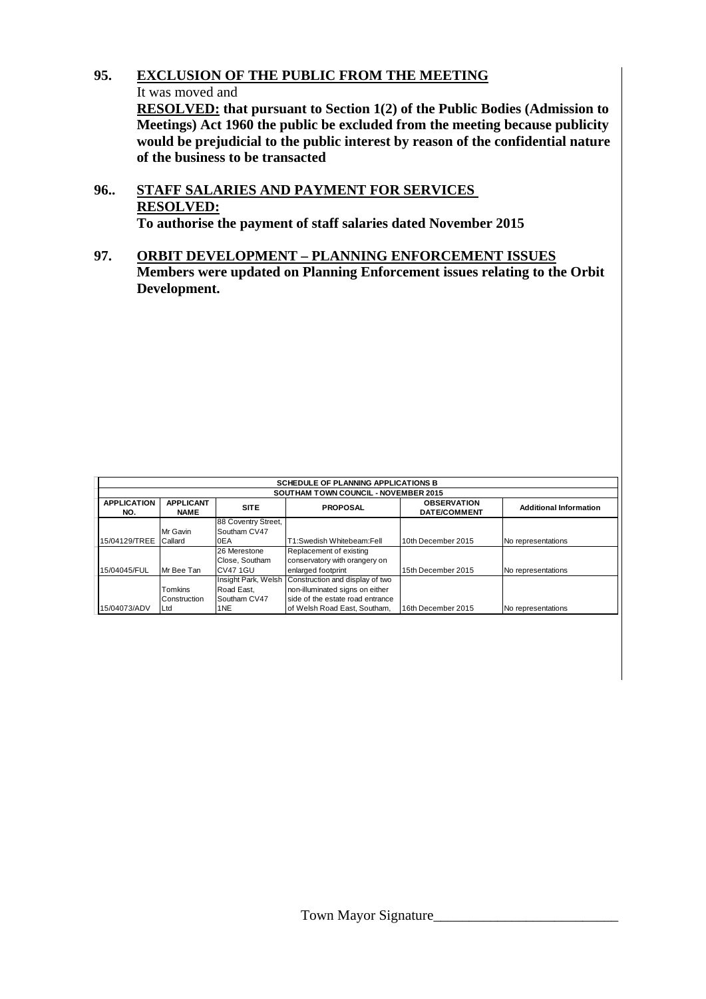# **95. EXCLUSION OF THE PUBLIC FROM THE MEETING**

It was moved and

**RESOLVED: that pursuant to Section 1(2) of the Public Bodies (Admission to Meetings) Act 1960 the public be excluded from the meeting because publicity would be prejudicial to the public interest by reason of the confidential nature of the business to be transacted** 

- **96.. STAFF SALARIES AND PAYMENT FOR SERVICES RESOLVED: To authorise the payment of staff salaries dated November 2015**
- **97. ORBIT DEVELOPMENT PLANNING ENFORCEMENT ISSUES Members were updated on Planning Enforcement issues relating to the Orbit Development.**

| <b>SCHEDULE OF PLANNING APPLICATIONS B</b>  |                                                |                 |                                                              |                    |                               |  |  |
|---------------------------------------------|------------------------------------------------|-----------------|--------------------------------------------------------------|--------------------|-------------------------------|--|--|
| <b>SOUTHAM TOWN COUNCIL - NOVEMBER 2015</b> |                                                |                 |                                                              |                    |                               |  |  |
| <b>APPLICATION</b><br>NO.                   | <b>APPLICANT</b><br><b>SITE</b><br><b>NAME</b> |                 | <b>OBSERVATION</b><br><b>PROPOSAL</b><br><b>DATE/COMMENT</b> |                    | <b>Additional Information</b> |  |  |
| 88 Coventry Street,                         |                                                |                 |                                                              |                    |                               |  |  |
|                                             | Mr Gavin                                       | Southam CV47    |                                                              |                    |                               |  |  |
| 15/04129/TREE                               | Callard<br>0EA                                 |                 | T1:Swedish Whitebeam:Fell                                    | 10th December 2015 | No representations            |  |  |
|                                             |                                                | 26 Merestone    | Replacement of existing                                      |                    |                               |  |  |
|                                             |                                                | Close, Southam  | conservatory with orangery on                                |                    |                               |  |  |
| 15/04045/FUL                                | Mr Bee Tan                                     | <b>CV47 1GU</b> | enlarged footprint                                           | 15th December 2015 | No representations            |  |  |
|                                             |                                                |                 | Insight Park, Welsh Construction and display of two          |                    |                               |  |  |
|                                             | <b>Tomkins</b>                                 | Road East.      | non-illuminated signs on either                              |                    |                               |  |  |
|                                             | Construction                                   | Southam CV47    | side of the estate road entrance                             |                    |                               |  |  |
| 15/04073/ADV                                | Ltd                                            | 1NE             | of Welsh Road East, Southam.                                 | 16th December 2015 | No representations            |  |  |